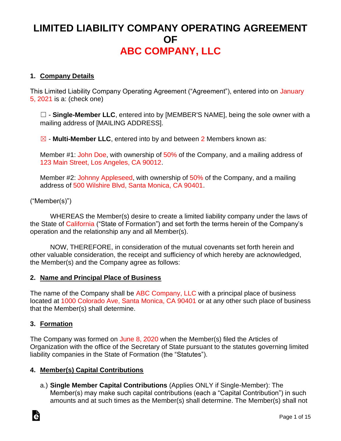# **LIMITED LIABILITY COMPANY OPERATING AGREEMENT OF ABC COMPANY, LLC**

# **1. Company Details**

This Limited Liability Company Operating Agreement ("Agreement"), entered into on January 5, 2021 is a: (check one)

□ - Single-Member LLC, entered into by [MEMBER'S NAME], being the sole owner with a mailing address of [MAILING ADDRESS].

☒ - **Multi-Member LLC**, entered into by and between 2 Members known as:

Member #1: John Doe, with ownership of 50% of the Company, and a mailing address of 123 Main Street, Los Angeles, CA 90012.

Member #2: Johnny Appleseed, with ownership of 50% of the Company, and a mailing address of 500 Wilshire Blvd, Santa Monica, CA 90401.

# ("Member(s)")

WHEREAS the Member(s) desire to create a limited liability company under the laws of the State of California ("State of Formation") and set forth the terms herein of the Company's operation and the relationship any and all Member(s).

NOW, THEREFORE, in consideration of the mutual covenants set forth herein and other valuable consideration, the receipt and sufficiency of which hereby are acknowledged, the Member(s) and the Company agree as follows:

#### **2. Name and Principal Place of Business**

The name of the Company shall be ABC Company, LLC with a principal place of business located at 1000 Colorado Ave, Santa Monica, CA 90401 or at any other such place of business that the Member(s) shall determine.

#### **3. Formation**

The Company was formed on June 8, 2020 when the Member(s) filed the Articles of Organization with the office of the Secretary of State pursuant to the statutes governing limited liability companies in the State of Formation (the "Statutes").

#### **4. Member(s) Capital Contributions**

a.) **Single Member Capital Contributions** (Applies ONLY if Single-Member): The Member(s) may make such capital contributions (each a "Capital Contribution") in such amounts and at such times as the Member(s) shall determine. The Member(s) shall not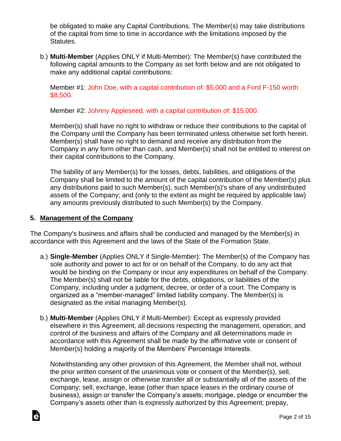be obligated to make any Capital Contributions. The Member(s) may take distributions of the capital from time to time in accordance with the limitations imposed by the Statutes.

b.) **Multi-Member** (Applies ONLY if Multi-Member): The Member(s) have contributed the following capital amounts to the Company as set forth below and are not obligated to make any additional capital contributions:

Member #1: John Doe, with a capital contribution of: \$5,000 and a Ford F-150 worth \$8,500.

Member #2: Johnny Appleseed, with a capital contribution of: \$15,000.

Member(s) shall have no right to withdraw or reduce their contributions to the capital of the Company until the Company has been terminated unless otherwise set forth herein. Member(s) shall have no right to demand and receive any distribution from the Company in any form other than cash, and Member(s) shall not be entitled to interest on their capital contributions to the Company.

The liability of any Member(s) for the losses, debts, liabilities, and obligations of the Company shall be limited to the amount of the capital contribution of the Member(s) plus any distributions paid to such Member(s), such Member(s)'s share of any undistributed assets of the Company; and (only to the extent as might be required by applicable law) any amounts previously distributed to such Member(s) by the Company.

# **5. Management of the Company**

The Company's business and affairs shall be conducted and managed by the Member(s) in accordance with this Agreement and the laws of the State of the Formation State.

- a.) **Single-Member** (Applies ONLY if Single-Member): The Member(s) of the Company has sole authority and power to act for or on behalf of the Company, to do any act that would be binding on the Company or incur any expenditures on behalf of the Company. The Member(s) shall not be liable for the debts, obligations, or liabilities of the Company, including under a judgment, decree, or order of a court. The Company is organized as a "member-managed" limited liability company. The Member(s) is designated as the initial managing Member(s).
- b.) **Multi-Member** (Applies ONLY if Multi-Member): Except as expressly provided elsewhere in this Agreement, all decisions respecting the management, operation, and control of the business and affairs of the Company and all determinations made in accordance with this Agreement shall be made by the affirmative vote or consent of Member(s) holding a majority of the Members' Percentage Interests.

Notwithstanding any other provision of this Agreement, the Member shall not, without the prior written consent of the unanimous vote or consent of the Member(s), sell, exchange, lease, assign or otherwise transfer all or substantially all of the assets of the Company; sell, exchange, lease (other than space leases in the ordinary course of business), assign or transfer the Company's assets; mortgage, pledge or encumber the Company's assets other than is expressly authorized by this Agreement; prepay,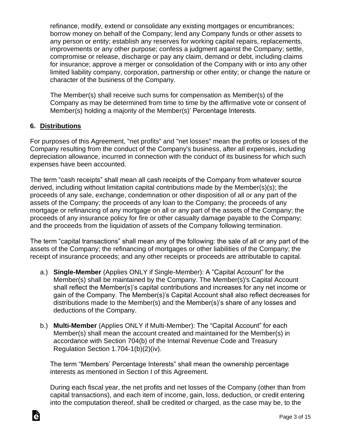refinance, modify, extend or consolidate any existing mortgages or encumbrances; borrow money on behalf of the Company; lend any Company funds or other assets to any person or entity; establish any reserves for working capital repairs, replacements, improvements or any other purpose; confess a judgment against the Company; settle, compromise or release, discharge or pay any claim, demand or debt, including claims for insurance; approve a merger or consolidation of the Company with or into any other limited liability company, corporation, partnership or other entity; or change the nature or character of the business of the Company.

The Member(s) shall receive such sums for compensation as Member(s) of the Company as may be determined from time to time by the affirmative vote or consent of Member(s) holding a majority of the Member(s)' Percentage Interests.

### **6. Distributions**

For purposes of this Agreement, "net profits" and "net losses" mean the profits or losses of the Company resulting from the conduct of the Company's business, after all expenses, including depreciation allowance, incurred in connection with the conduct of its business for which such expenses have been accounted.

The term "cash receipts" shall mean all cash receipts of the Company from whatever source derived, including without limitation capital contributions made by the Member(s)(s); the proceeds of any sale, exchange, condemnation or other disposition of all or any part of the assets of the Company; the proceeds of any loan to the Company; the proceeds of any mortgage or refinancing of any mortgage on all or any part of the assets of the Company; the proceeds of any insurance policy for fire or other casualty damage payable to the Company; and the proceeds from the liquidation of assets of the Company following termination.

The term "capital transactions" shall mean any of the following: the sale of all or any part of the assets of the Company; the refinancing of mortgages or other liabilities of the Company; the receipt of insurance proceeds; and any other receipts or proceeds are attributable to capital.

- a.) **Single-Member** (Applies ONLY if Single-Member): A "Capital Account" for the Member(s) shall be maintained by the Company. The Member(s)'s Capital Account shall reflect the Member(s)'s capital contributions and increases for any net income or gain of the Company. The Member(s)'s Capital Account shall also reflect decreases for distributions made to the Member(s) and the Member(s)'s share of any losses and deductions of the Company.
- b.) **Multi-Member** (Applies ONLY if Multi-Member): The "Capital Account" for each Member(s) shall mean the account created and maintained for the Member(s) in accordance with Section 704(b) of the Internal Revenue Code and Treasury Regulation Section 1.704-1(b)(2)(iv).

The term "Members' Percentage Interests" shall mean the ownership percentage interests as mentioned in Section I of this Agreement.

During each fiscal year, the net profits and net losses of the Company (other than from capital transactions), and each item of income, gain, loss, deduction, or credit entering into the computation thereof, shall be credited or charged, as the case may be, to the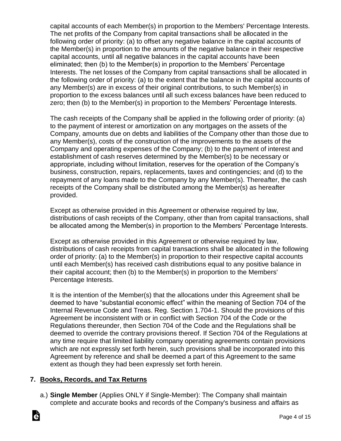capital accounts of each Member(s) in proportion to the Members' Percentage Interests. The net profits of the Company from capital transactions shall be allocated in the following order of priority: (a) to offset any negative balance in the capital accounts of the Member(s) in proportion to the amounts of the negative balance in their respective capital accounts, until all negative balances in the capital accounts have been eliminated; then (b) to the Member(s) in proportion to the Members' Percentage Interests. The net losses of the Company from capital transactions shall be allocated in the following order of priority: (a) to the extent that the balance in the capital accounts of any Member(s) are in excess of their original contributions, to such Member(s) in proportion to the excess balances until all such excess balances have been reduced to zero; then (b) to the Member(s) in proportion to the Members' Percentage Interests.

The cash receipts of the Company shall be applied in the following order of priority: (a) to the payment of interest or amortization on any mortgages on the assets of the Company, amounts due on debts and liabilities of the Company other than those due to any Member(s), costs of the construction of the improvements to the assets of the Company and operating expenses of the Company; (b) to the payment of interest and establishment of cash reserves determined by the Member(s) to be necessary or appropriate, including without limitation, reserves for the operation of the Company's business, construction, repairs, replacements, taxes and contingencies; and (d) to the repayment of any loans made to the Company by any Member(s). Thereafter, the cash receipts of the Company shall be distributed among the Member(s) as hereafter provided.

Except as otherwise provided in this Agreement or otherwise required by law, distributions of cash receipts of the Company, other than from capital transactions, shall be allocated among the Member(s) in proportion to the Members' Percentage Interests.

Except as otherwise provided in this Agreement or otherwise required by law, distributions of cash receipts from capital transactions shall be allocated in the following order of priority: (a) to the Member(s) in proportion to their respective capital accounts until each Member(s) has received cash distributions equal to any positive balance in their capital account; then (b) to the Member(s) in proportion to the Members' Percentage Interests.

It is the intention of the Member(s) that the allocations under this Agreement shall be deemed to have "substantial economic effect" within the meaning of Section 704 of the Internal Revenue Code and Treas. Reg. Section 1.704-1. Should the provisions of this Agreement be inconsistent with or in conflict with Section 704 of the Code or the Regulations thereunder, then Section 704 of the Code and the Regulations shall be deemed to override the contrary provisions thereof. If Section 704 of the Regulations at any time require that limited liability company operating agreements contain provisions which are not expressly set forth herein, such provisions shall be incorporated into this Agreement by reference and shall be deemed a part of this Agreement to the same extent as though they had been expressly set forth herein.

# **7. Books, Records, and Tax Returns**

ो

a.) **Single Member** (Applies ONLY if Single-Member): The Company shall maintain complete and accurate books and records of the Company's business and affairs as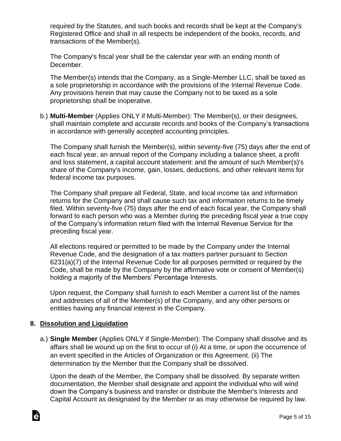required by the Statutes, and such books and records shall be kept at the Company's Registered Office and shall in all respects be independent of the books, records, and transactions of the Member(s).

The Company's fiscal year shall be the calendar year with an ending month of December.

The Member(s) intends that the Company, as a Single-Member LLC, shall be taxed as a sole proprietorship in accordance with the provisions of the Internal Revenue Code. Any provisions herein that may cause the Company not to be taxed as a sole proprietorship shall be inoperative.

b.) **Multi-Member** (Applies ONLY if Multi-Member): The Member(s), or their designees, shall maintain complete and accurate records and books of the Company's transactions in accordance with generally accepted accounting principles.

The Company shall furnish the Member(s), within seventy-five (75) days after the end of each fiscal year, an annual report of the Company including a balance sheet, a profit and loss statement, a capital account statement: and the amount of such Member(s)'s share of the Company's income, gain, losses, deductions, and other relevant items for federal income tax purposes.

The Company shall prepare all Federal, State, and local income tax and information returns for the Company and shall cause such tax and information returns to be timely filed. Within seventy-five (75) days after the end of each fiscal year, the Company shall forward to each person who was a Member during the preceding fiscal year a true copy of the Company's information return filed with the Internal Revenue Service for the preceding fiscal year.

All elections required or permitted to be made by the Company under the Internal Revenue Code, and the designation of a tax matters partner pursuant to Section 6231(a)(7) of the Internal Revenue Code for all purposes permitted or required by the Code, shall be made by the Company by the affirmative vote or consent of Member(s) holding a majority of the Members' Percentage Interests.

Upon request, the Company shall furnish to each Member a current list of the names and addresses of all of the Member(s) of the Company, and any other persons or entities having any financial interest in the Company.

# **8. Dissolution and Liquidation**

a.) **Single Member** (Applies ONLY if Single-Member): The Company shall dissolve and its affairs shall be wound up on the first to occur of (i) At a time, or upon the occurrence of an event specified in the Articles of Organization or this Agreement. (ii) The determination by the Member that the Company shall be dissolved.

Upon the death of the Member, the Company shall be dissolved. By separate written documentation, the Member shall designate and appoint the individual who will wind down the Company's business and transfer or distribute the Member's Interests and Capital Account as designated by the Member or as may otherwise be required by law.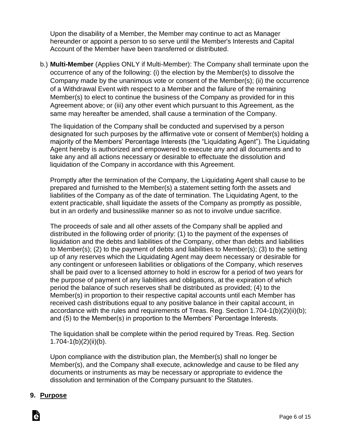Upon the disability of a Member, the Member may continue to act as Manager hereunder or appoint a person to so serve until the Member's Interests and Capital Account of the Member have been transferred or distributed.

b.) **Multi-Member** (Applies ONLY if Multi-Member): The Company shall terminate upon the occurrence of any of the following: (i) the election by the Member(s) to dissolve the Company made by the unanimous vote or consent of the Member(s); (ii) the occurrence of a Withdrawal Event with respect to a Member and the failure of the remaining Member(s) to elect to continue the business of the Company as provided for in this Agreement above; or (iii) any other event which pursuant to this Agreement, as the same may hereafter be amended, shall cause a termination of the Company.

The liquidation of the Company shall be conducted and supervised by a person designated for such purposes by the affirmative vote or consent of Member(s) holding a majority of the Members' Percentage Interests (the "Liquidating Agent"). The Liquidating Agent hereby is authorized and empowered to execute any and all documents and to take any and all actions necessary or desirable to effectuate the dissolution and liquidation of the Company in accordance with this Agreement.

Promptly after the termination of the Company, the Liquidating Agent shall cause to be prepared and furnished to the Member(s) a statement setting forth the assets and liabilities of the Company as of the date of termination. The Liquidating Agent, to the extent practicable, shall liquidate the assets of the Company as promptly as possible, but in an orderly and businesslike manner so as not to involve undue sacrifice.

The proceeds of sale and all other assets of the Company shall be applied and distributed in the following order of priority: (1) to the payment of the expenses of liquidation and the debts and liabilities of the Company, other than debts and liabilities to Member(s); (2) to the payment of debts and liabilities to Member(s); (3) to the setting up of any reserves which the Liquidating Agent may deem necessary or desirable for any contingent or unforeseen liabilities or obligations of the Company, which reserves shall be paid over to a licensed attorney to hold in escrow for a period of two years for the purpose of payment of any liabilities and obligations, at the expiration of which period the balance of such reserves shall be distributed as provided; (4) to the Member(s) in proportion to their respective capital accounts until each Member has received cash distributions equal to any positive balance in their capital account, in accordance with the rules and requirements of Treas. Reg. Section 1.704-1(b)(2)(ii)(b); and (5) to the Member(s) in proportion to the Members' Percentage Interests.

The liquidation shall be complete within the period required by Treas. Reg. Section  $1.704 - 1(b)(2)(ii)(b)$ .

Upon compliance with the distribution plan, the Member(s) shall no longer be Member(s), and the Company shall execute, acknowledge and cause to be filed any documents or instruments as may be necessary or appropriate to evidence the dissolution and termination of the Company pursuant to the Statutes.

# **9. Purpose**

Ġ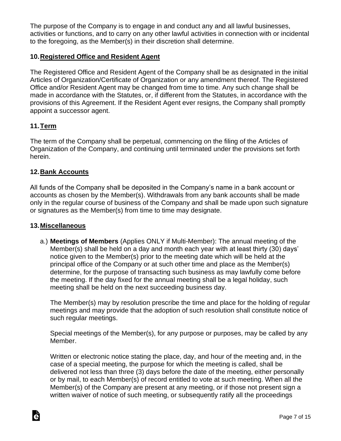The purpose of the Company is to engage in and conduct any and all lawful businesses, activities or functions, and to carry on any other lawful activities in connection with or incidental to the foregoing, as the Member(s) in their discretion shall determine.

## **10.Registered Office and Resident Agent**

The Registered Office and Resident Agent of the Company shall be as designated in the initial Articles of Organization/Certificate of Organization or any amendment thereof. The Registered Office and/or Resident Agent may be changed from time to time. Any such change shall be made in accordance with the Statutes, or, if different from the Statutes, in accordance with the provisions of this Agreement. If the Resident Agent ever resigns, the Company shall promptly appoint a successor agent.

# **11.Term**

The term of the Company shall be perpetual, commencing on the filing of the Articles of Organization of the Company, and continuing until terminated under the provisions set forth herein.

#### **12.Bank Accounts**

All funds of the Company shall be deposited in the Company's name in a bank account or accounts as chosen by the Member(s). Withdrawals from any bank accounts shall be made only in the regular course of business of the Company and shall be made upon such signature or signatures as the Member(s) from time to time may designate.

#### **13.Miscellaneous**

a.) **Meetings of Members** (Applies ONLY if Multi-Member): The annual meeting of the Member(s) shall be held on a day and month each year with at least thirty (30) days' notice given to the Member(s) prior to the meeting date which will be held at the principal office of the Company or at such other time and place as the Member(s) determine, for the purpose of transacting such business as may lawfully come before the meeting. If the day fixed for the annual meeting shall be a legal holiday, such meeting shall be held on the next succeeding business day.

The Member(s) may by resolution prescribe the time and place for the holding of regular meetings and may provide that the adoption of such resolution shall constitute notice of such regular meetings.

Special meetings of the Member(s), for any purpose or purposes, may be called by any Member.

Written or electronic notice stating the place, day, and hour of the meeting and, in the case of a special meeting, the purpose for which the meeting is called, shall be delivered not less than three (3) days before the date of the meeting, either personally or by mail, to each Member(s) of record entitled to vote at such meeting. When all the Member(s) of the Company are present at any meeting, or if those not present sign a written waiver of notice of such meeting, or subsequently ratify all the proceedings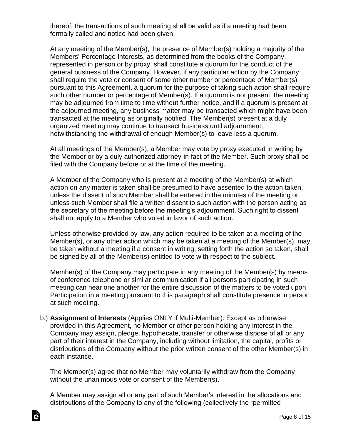thereof, the transactions of such meeting shall be valid as if a meeting had been formally called and notice had been given.

At any meeting of the Member(s), the presence of Member(s) holding a majority of the Members' Percentage Interests, as determined from the books of the Company, represented in person or by proxy, shall constitute a quorum for the conduct of the general business of the Company. However, if any particular action by the Company shall require the vote or consent of some other number or percentage of Member(s) pursuant to this Agreement, a quorum for the purpose of taking such action shall require such other number or percentage of Member(s). If a quorum is not present, the meeting may be adjourned from time to time without further notice, and if a quorum is present at the adjourned meeting, any business matter may be transacted which might have been transacted at the meeting as originally notified. The Member(s) present at a duly organized meeting may continue to transact business until adjournment, notwithstanding the withdrawal of enough Member(s) to leave less a quorum.

At all meetings of the Member(s), a Member may vote by proxy executed in writing by the Member or by a duly authorized attorney-in-fact of the Member. Such proxy shall be filed with the Company before or at the time of the meeting.

A Member of the Company who is present at a meeting of the Member(s) at which action on any matter is taken shall be presumed to have assented to the action taken, unless the dissent of such Member shall be entered in the minutes of the meeting or unless such Member shall file a written dissent to such action with the person acting as the secretary of the meeting before the meeting's adjournment. Such right to dissent shall not apply to a Member who voted in favor of such action.

Unless otherwise provided by law, any action required to be taken at a meeting of the Member(s), or any other action which may be taken at a meeting of the Member(s), may be taken without a meeting if a consent in writing, setting forth the action so taken, shall be signed by all of the Member(s) entitled to vote with respect to the subject.

Member(s) of the Company may participate in any meeting of the Member(s) by means of conference telephone or similar communication if all persons participating in such meeting can hear one another for the entire discussion of the matters to be voted upon. Participation in a meeting pursuant to this paragraph shall constitute presence in person at such meeting.

b.) **Assignment of Interests** (Applies ONLY if Multi-Member): Except as otherwise provided in this Agreement, no Member or other person holding any interest in the Company may assign, pledge, hypothecate, transfer or otherwise dispose of all or any part of their interest in the Company, including without limitation, the capital, profits or distributions of the Company without the prior written consent of the other Member(s) in each instance.

The Member(s) agree that no Member may voluntarily withdraw from the Company without the unanimous vote or consent of the Member(s).

A Member may assign all or any part of such Member's interest in the allocations and distributions of the Company to any of the following (collectively the "permitted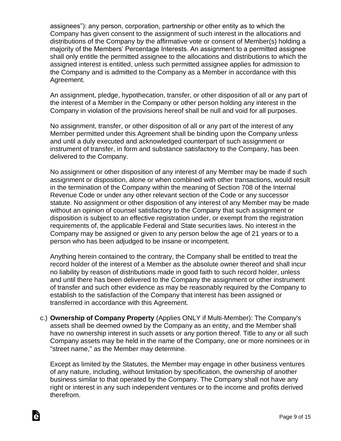assignees"): any person, corporation, partnership or other entity as to which the Company has given consent to the assignment of such interest in the allocations and distributions of the Company by the affirmative vote or consent of Member(s) holding a majority of the Members' Percentage Interests. An assignment to a permitted assignee shall only entitle the permitted assignee to the allocations and distributions to which the assigned interest is entitled, unless such permitted assignee applies for admission to the Company and is admitted to the Company as a Member in accordance with this Agreement.

An assignment, pledge, hypothecation, transfer, or other disposition of all or any part of the interest of a Member in the Company or other person holding any interest in the Company in violation of the provisions hereof shall be null and void for all purposes.

No assignment, transfer, or other disposition of all or any part of the interest of any Member permitted under this Agreement shall be binding upon the Company unless and until a duly executed and acknowledged counterpart of such assignment or instrument of transfer, in form and substance satisfactory to the Company, has been delivered to the Company.

No assignment or other disposition of any interest of any Member may be made if such assignment or disposition, alone or when combined with other transactions, would result in the termination of the Company within the meaning of Section 708 of the Internal Revenue Code or under any other relevant section of the Code or any successor statute. No assignment or other disposition of any interest of any Member may be made without an opinion of counsel satisfactory to the Company that such assignment or disposition is subject to an effective registration under, or exempt from the registration requirements of, the applicable Federal and State securities laws. No interest in the Company may be assigned or given to any person below the age of 21 years or to a person who has been adjudged to be insane or incompetent.

Anything herein contained to the contrary, the Company shall be entitled to treat the record holder of the interest of a Member as the absolute owner thereof and shall incur no liability by reason of distributions made in good faith to such record holder, unless and until there has been delivered to the Company the assignment or other instrument of transfer and such other evidence as may be reasonably required by the Company to establish to the satisfaction of the Company that interest has been assigned or transferred in accordance with this Agreement.

c.) **Ownership of Company Property** (Applies ONLY if Multi-Member): The Company's assets shall be deemed owned by the Company as an entity, and the Member shall have no ownership interest in such assets or any portion thereof. Title to any or all such Company assets may be held in the name of the Company, one or more nominees or in "street name," as the Member may determine.

Except as limited by the Statutes, the Member may engage in other business ventures of any nature, including, without limitation by specification, the ownership of another business similar to that operated by the Company. The Company shall not have any right or interest in any such independent ventures or to the income and profits derived therefrom.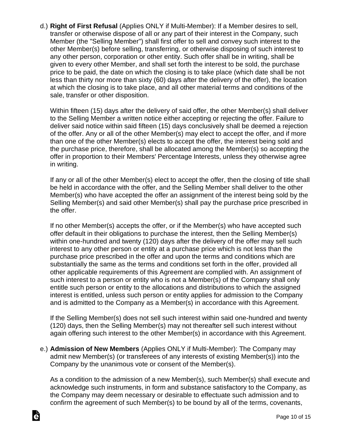d.) **Right of First Refusal** (Applies ONLY if Multi-Member): If a Member desires to sell, transfer or otherwise dispose of all or any part of their interest in the Company, such Member (the "Selling Member") shall first offer to sell and convey such interest to the other Member(s) before selling, transferring, or otherwise disposing of such interest to any other person, corporation or other entity. Such offer shall be in writing, shall be given to every other Member, and shall set forth the interest to be sold, the purchase price to be paid, the date on which the closing is to take place (which date shall be not less than thirty nor more than sixty (60) days after the delivery of the offer), the location at which the closing is to take place, and all other material terms and conditions of the sale, transfer or other disposition.

Within fifteen (15) days after the delivery of said offer, the other Member(s) shall deliver to the Selling Member a written notice either accepting or rejecting the offer. Failure to deliver said notice within said fifteen (15) days conclusively shall be deemed a rejection of the offer. Any or all of the other Member(s) may elect to accept the offer, and if more than one of the other Member(s) elects to accept the offer, the interest being sold and the purchase price, therefore, shall be allocated among the Member(s) so accepting the offer in proportion to their Members' Percentage Interests, unless they otherwise agree in writing.

If any or all of the other Member(s) elect to accept the offer, then the closing of title shall be held in accordance with the offer, and the Selling Member shall deliver to the other Member(s) who have accepted the offer an assignment of the interest being sold by the Selling Member(s) and said other Member(s) shall pay the purchase price prescribed in the offer.

If no other Member(s) accepts the offer, or if the Member(s) who have accepted such offer default in their obligations to purchase the interest, then the Selling Member(s) within one-hundred and twenty (120) days after the delivery of the offer may sell such interest to any other person or entity at a purchase price which is not less than the purchase price prescribed in the offer and upon the terms and conditions which are substantially the same as the terms and conditions set forth in the offer, provided all other applicable requirements of this Agreement are complied with. An assignment of such interest to a person or entity who is not a Member(s) of the Company shall only entitle such person or entity to the allocations and distributions to which the assigned interest is entitled, unless such person or entity applies for admission to the Company and is admitted to the Company as a Member(s) in accordance with this Agreement.

If the Selling Member(s) does not sell such interest within said one-hundred and twenty (120) days, then the Selling Member(s) may not thereafter sell such interest without again offering such interest to the other Member(s) in accordance with this Agreement.

e.) **Admission of New Members** (Applies ONLY if Multi-Member): The Company may admit new Member(s) (or transferees of any interests of existing Member(s)) into the Company by the unanimous vote or consent of the Member(s).

As a condition to the admission of a new Member(s), such Member(s) shall execute and acknowledge such instruments, in form and substance satisfactory to the Company, as the Company may deem necessary or desirable to effectuate such admission and to confirm the agreement of such Member(s) to be bound by all of the terms, covenants,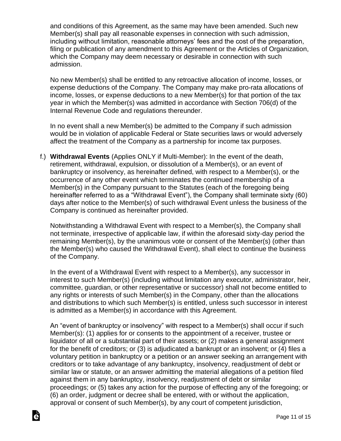and conditions of this Agreement, as the same may have been amended. Such new Member(s) shall pay all reasonable expenses in connection with such admission, including without limitation, reasonable attorneys' fees and the cost of the preparation, filing or publication of any amendment to this Agreement or the Articles of Organization, which the Company may deem necessary or desirable in connection with such admission.

No new Member(s) shall be entitled to any retroactive allocation of income, losses, or expense deductions of the Company. The Company may make pro-rata allocations of income, losses, or expense deductions to a new Member(s) for that portion of the tax year in which the Member(s) was admitted in accordance with Section 706(d) of the Internal Revenue Code and regulations thereunder.

In no event shall a new Member(s) be admitted to the Company if such admission would be in violation of applicable Federal or State securities laws or would adversely affect the treatment of the Company as a partnership for income tax purposes.

f.) **Withdrawal Events** (Applies ONLY if Multi-Member): In the event of the death, retirement, withdrawal, expulsion, or dissolution of a Member(s), or an event of bankruptcy or insolvency, as hereinafter defined, with respect to a Member(s), or the occurrence of any other event which terminates the continued membership of a Member(s) in the Company pursuant to the Statutes (each of the foregoing being hereinafter referred to as a "Withdrawal Event"), the Company shall terminate sixty (60) days after notice to the Member(s) of such withdrawal Event unless the business of the Company is continued as hereinafter provided.

Notwithstanding a Withdrawal Event with respect to a Member(s), the Company shall not terminate, irrespective of applicable law, if within the aforesaid sixty-day period the remaining Member(s), by the unanimous vote or consent of the Member(s) (other than the Member(s) who caused the Withdrawal Event), shall elect to continue the business of the Company.

In the event of a Withdrawal Event with respect to a Member(s), any successor in interest to such Member(s) (including without limitation any executor, administrator, heir, committee, guardian, or other representative or successor) shall not become entitled to any rights or interests of such Member(s) in the Company, other than the allocations and distributions to which such Member(s) is entitled, unless such successor in interest is admitted as a Member(s) in accordance with this Agreement.

An "event of bankruptcy or insolvency" with respect to a Member(s) shall occur if such Member(s): (1) applies for or consents to the appointment of a receiver, trustee or liquidator of all or a substantial part of their assets; or (2) makes a general assignment for the benefit of creditors; or (3) is adjudicated a bankrupt or an insolvent; or (4) files a voluntary petition in bankruptcy or a petition or an answer seeking an arrangement with creditors or to take advantage of any bankruptcy, insolvency, readjustment of debt or similar law or statute, or an answer admitting the material allegations of a petition filed against them in any bankruptcy, insolvency, readjustment of debt or similar proceedings; or (5) takes any action for the purpose of effecting any of the foregoing; or (6) an order, judgment or decree shall be entered, with or without the application, approval or consent of such Member(s), by any court of competent jurisdiction,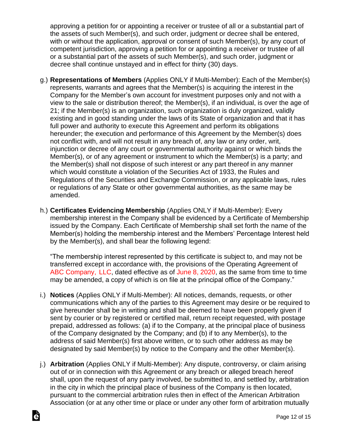approving a petition for or appointing a receiver or trustee of all or a substantial part of the assets of such Member(s), and such order, judgment or decree shall be entered, with or without the application, approval or consent of such Member(s), by any court of competent jurisdiction, approving a petition for or appointing a receiver or trustee of all or a substantial part of the assets of such Member(s), and such order, judgment or decree shall continue unstayed and in effect for thirty (30) days.

- g.) **Representations of Members** (Applies ONLY if Multi-Member): Each of the Member(s) represents, warrants and agrees that the Member(s) is acquiring the interest in the Company for the Member's own account for investment purposes only and not with a view to the sale or distribution thereof; the Member(s), if an individual, is over the age of 21; if the Member(s) is an organization, such organization is duly organized, validly existing and in good standing under the laws of its State of organization and that it has full power and authority to execute this Agreement and perform its obligations hereunder; the execution and performance of this Agreement by the Member(s) does not conflict with, and will not result in any breach of, any law or any order, writ, injunction or decree of any court or governmental authority against or which binds the Member(s), or of any agreement or instrument to which the Member(s) is a party; and the Member(s) shall not dispose of such interest or any part thereof in any manner which would constitute a violation of the Securities Act of 1933, the Rules and Regulations of the Securities and Exchange Commission, or any applicable laws, rules or regulations of any State or other governmental authorities, as the same may be amended.
- h.) **Certificates Evidencing Membership** (Applies ONLY if Multi-Member): Every membership interest in the Company shall be evidenced by a Certificate of Membership issued by the Company. Each Certificate of Membership shall set forth the name of the Member(s) holding the membership interest and the Members' Percentage Interest held by the Member(s), and shall bear the following legend:

"The membership interest represented by this certificate is subject to, and may not be transferred except in accordance with, the provisions of the Operating Agreement of ABC Company, LLC, dated effective as of June 8, 2020, as the same from time to time may be amended, a copy of which is on file at the principal office of the Company."

- i.) **Notices** (Applies ONLY if Multi-Member): All notices, demands, requests, or other communications which any of the parties to this Agreement may desire or be required to give hereunder shall be in writing and shall be deemed to have been properly given if sent by courier or by registered or certified mail, return receipt requested, with postage prepaid, addressed as follows: (a) if to the Company, at the principal place of business of the Company designated by the Company; and (b) if to any Member(s), to the address of said Member(s) first above written, or to such other address as may be designated by said Member(s) by notice to the Company and the other Member(s).
- j.) **Arbitration** (Applies ONLY if Multi-Member): Any dispute, controversy, or claim arising out of or in connection with this Agreement or any breach or alleged breach hereof shall, upon the request of any party involved, be submitted to, and settled by, arbitration in the city in which the principal place of business of the Company is then located, pursuant to the commercial arbitration rules then in effect of the American Arbitration Association (or at any other time or place or under any other form of arbitration mutually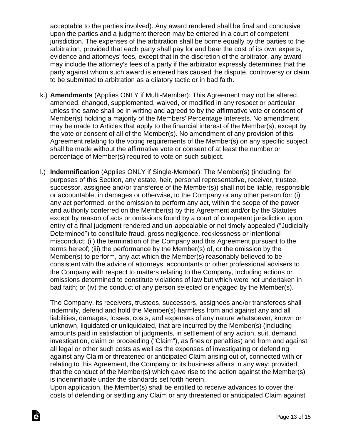acceptable to the parties involved). Any award rendered shall be final and conclusive upon the parties and a judgment thereon may be entered in a court of competent jurisdiction. The expenses of the arbitration shall be borne equally by the parties to the arbitration, provided that each party shall pay for and bear the cost of its own experts, evidence and attorneys' fees, except that in the discretion of the arbitrator, any award may include the attorney's fees of a party if the arbitrator expressly determines that the party against whom such award is entered has caused the dispute, controversy or claim to be submitted to arbitration as a dilatory tactic or in bad faith.

- k.) **Amendments** (Applies ONLY if Multi-Member): This Agreement may not be altered, amended, changed, supplemented, waived, or modified in any respect or particular unless the same shall be in writing and agreed to by the affirmative vote or consent of Member(s) holding a majority of the Members' Percentage Interests. No amendment may be made to Articles that apply to the financial interest of the Member(s), except by the vote or consent of all of the Member(s). No amendment of any provision of this Agreement relating to the voting requirements of the Member(s) on any specific subject shall be made without the affirmative vote or consent of at least the number or percentage of Member(s) required to vote on such subject.
- l.) **Indemnification** (Applies ONLY if Single-Member): The Member(s) (including, for purposes of this Section, any estate, heir, personal representative, receiver, trustee, successor, assignee and/or transferee of the Member(s)) shall not be liable, responsible or accountable, in damages or otherwise, to the Company or any other person for: (i) any act performed, or the omission to perform any act, within the scope of the power and authority conferred on the Member(s) by this Agreement and/or by the Statutes except by reason of acts or omissions found by a court of competent jurisdiction upon entry of a final judgment rendered and un-appealable or not timely appealed ("Judicially Determined") to constitute fraud, gross negligence, recklessness or intentional misconduct; (ii) the termination of the Company and this Agreement pursuant to the terms hereof; (iii) the performance by the Member(s) of, or the omission by the Member(s) to perform, any act which the Member(s) reasonably believed to be consistent with the advice of attorneys, accountants or other professional advisers to the Company with respect to matters relating to the Company, including actions or omissions determined to constitute violations of law but which were not undertaken in bad faith; or (iv) the conduct of any person selected or engaged by the Member(s).

The Company, its receivers, trustees, successors, assignees and/or transferees shall indemnify, defend and hold the Member(s) harmless from and against any and all liabilities, damages, losses, costs, and expenses of any nature whatsoever, known or unknown, liquidated or unliquidated, that are incurred by the Member(s) (including amounts paid in satisfaction of judgments, in settlement of any action, suit, demand, investigation, claim or proceeding ("Claim"), as fines or penalties) and from and against all legal or other such costs as well as the expenses of investigating or defending against any Claim or threatened or anticipated Claim arising out of, connected with or relating to this Agreement, the Company or its business affairs in any way; provided, that the conduct of the Member(s) which gave rise to the action against the Member(s) is indemnifiable under the standards set forth herein.

Upon application, the Member(s) shall be entitled to receive advances to cover the costs of defending or settling any Claim or any threatened or anticipated Claim against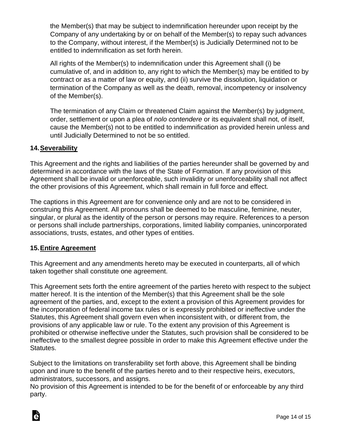the Member(s) that may be subject to indemnification hereunder upon receipt by the Company of any undertaking by or on behalf of the Member(s) to repay such advances to the Company, without interest, if the Member(s) is Judicially Determined not to be entitled to indemnification as set forth herein.

All rights of the Member(s) to indemnification under this Agreement shall (i) be cumulative of, and in addition to, any right to which the Member(s) may be entitled to by contract or as a matter of law or equity, and (ii) survive the dissolution, liquidation or termination of the Company as well as the death, removal, incompetency or insolvency of the Member(s).

The termination of any Claim or threatened Claim against the Member(s) by judgment, order, settlement or upon a plea of *nolo contendere* or its equivalent shall not, of itself, cause the Member(s) not to be entitled to indemnification as provided herein unless and until Judicially Determined to not be so entitled.

### **14.Severability**

This Agreement and the rights and liabilities of the parties hereunder shall be governed by and determined in accordance with the laws of the State of Formation. If any provision of this Agreement shall be invalid or unenforceable, such invalidity or unenforceability shall not affect the other provisions of this Agreement, which shall remain in full force and effect.

The captions in this Agreement are for convenience only and are not to be considered in construing this Agreement. All pronouns shall be deemed to be masculine, feminine, neuter, singular, or plural as the identity of the person or persons may require. References to a person or persons shall include partnerships, corporations, limited liability companies, unincorporated associations, trusts, estates, and other types of entities.

#### **15.Entire Agreement**

This Agreement and any amendments hereto may be executed in counterparts, all of which taken together shall constitute one agreement.

This Agreement sets forth the entire agreement of the parties hereto with respect to the subject matter hereof. It is the intention of the Member(s) that this Agreement shall be the sole agreement of the parties, and, except to the extent a provision of this Agreement provides for the incorporation of federal income tax rules or is expressly prohibited or ineffective under the Statutes, this Agreement shall govern even when inconsistent with, or different from, the provisions of any applicable law or rule. To the extent any provision of this Agreement is prohibited or otherwise ineffective under the Statutes, such provision shall be considered to be ineffective to the smallest degree possible in order to make this Agreement effective under the Statutes.

Subject to the limitations on transferability set forth above, this Agreement shall be binding upon and inure to the benefit of the parties hereto and to their respective heirs, executors, administrators, successors, and assigns.

No provision of this Agreement is intended to be for the benefit of or enforceable by any third party.